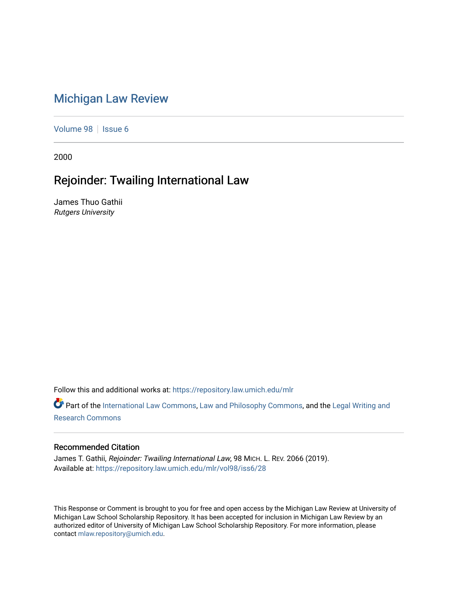## [Michigan Law Review](https://repository.law.umich.edu/mlr)

[Volume 98](https://repository.law.umich.edu/mlr/vol98) | [Issue 6](https://repository.law.umich.edu/mlr/vol98/iss6)

2000

# Rejoinder: Twailing International Law

James Thuo Gathii Rutgers University

Follow this and additional works at: [https://repository.law.umich.edu/mlr](https://repository.law.umich.edu/mlr?utm_source=repository.law.umich.edu%2Fmlr%2Fvol98%2Fiss6%2F28&utm_medium=PDF&utm_campaign=PDFCoverPages) 

Part of the [International Law Commons,](http://network.bepress.com/hgg/discipline/609?utm_source=repository.law.umich.edu%2Fmlr%2Fvol98%2Fiss6%2F28&utm_medium=PDF&utm_campaign=PDFCoverPages) [Law and Philosophy Commons,](http://network.bepress.com/hgg/discipline/1299?utm_source=repository.law.umich.edu%2Fmlr%2Fvol98%2Fiss6%2F28&utm_medium=PDF&utm_campaign=PDFCoverPages) and the Legal Writing and [Research Commons](http://network.bepress.com/hgg/discipline/614?utm_source=repository.law.umich.edu%2Fmlr%2Fvol98%2Fiss6%2F28&utm_medium=PDF&utm_campaign=PDFCoverPages) 

### Recommended Citation

James T. Gathii, Rejoinder: Twailing International Law, 98 MICH. L. REV. 2066 (2019). Available at: [https://repository.law.umich.edu/mlr/vol98/iss6/28](https://repository.law.umich.edu/mlr/vol98/iss6/28?utm_source=repository.law.umich.edu%2Fmlr%2Fvol98%2Fiss6%2F28&utm_medium=PDF&utm_campaign=PDFCoverPages) 

This Response or Comment is brought to you for free and open access by the Michigan Law Review at University of Michigan Law School Scholarship Repository. It has been accepted for inclusion in Michigan Law Review by an authorized editor of University of Michigan Law School Scholarship Repository. For more information, please contact [mlaw.repository@umich.edu](mailto:mlaw.repository@umich.edu).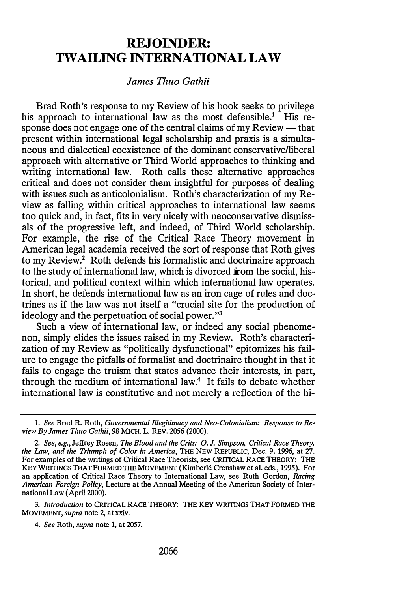### REJOINDER: TW AILING INTERNATIONAL LAW

#### James Thuo Gathii

Brad Roth's response to my Review of his book seeks to privilege his approach to international law as the most defensible.<sup>1</sup> His response does not engage one of the central claims of  $my$  Review  $-$  that present within international legal scholarship and praxis is a simultaneous and dialectical coexistence of the dominant conservative/liberal approach with alternative or Third World approaches to thinking and writing international law. Roth calls these alternative approaches critical and does not consider them insightful for purposes of dealing with issues such as anticolonialism. Roth's characterization of my Review as falling within critical approaches to international law seems too quick and, in fact, fits in very nicely with neoconservative dismissals of the progressive left, and indeed, of Third World scholarship. For example, the rise of the Critical Race Theory movement in American legal academia received the sort of response that Roth gives to my Review.2 Roth defends his formalistic and doctrinaire approach to the study of international law, which is divorced from the social, historical, and political context within which international law operates. In short, he defends international law as an iron cage of rules and doctrines as if the law was not itself a "crucial site for the production of ideology and the perpetuation of social power."3

Such a view of international law, or indeed any social phenomenon, simply elides the issues raised in my Review. Roth's characterization of my Review as "politically dysfunctional" epitomizes his failure to engage the pitfalls of formalist and doctrinaire thought in that it fails to engage the truism that states advance their interests, in part, through the medium of international law.4 It fails to debate whether international law is constitutive and not merely a reflection of the hi-

3. Introduction to CRITICAL RACE THEORY: THE KEY WRITINGS THAT FORMED THE MOVEMENT, supra note 2, at xxiv.

4. See Roth, supra note 1, at 2057.

<sup>1.</sup> See Brad R. Roth, Governmental Illegitimacy and Neo-Colonialism: Response to Re· view By James Thuo Gathii, 98 MICH. L. REV. 2056 (2000).

<sup>2.</sup> See, e.g., Jeffrey Rosen, The Blood and the Crits: 0. J. Simpson, Critical Race Theory, the Law, and the Triumph of Color in America, THE NEW REPUBLIC, Dec. 9, 1996, at 27. For examples of the writings of Critical Race Theorists, see CRITICAL RACE THEORY: THE KEY WRITINGS THAT FORMED TIIE MOVEMENT (Kimberle Crenshaw et al. eds., 1995). For an application of Critical Race Theory to International Law, see Ruth Gordon, Racing American Foreign Policy, Lecture at the Annual Meeting of the American Society of International Law (April 2000).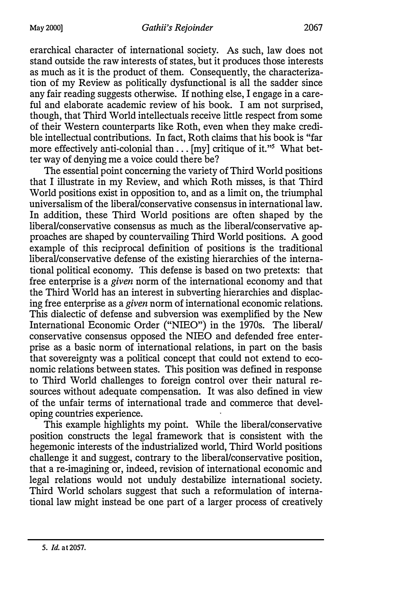erarchical character of international society. As such, law does not stand outside the raw interests of states, but it produces those interests as much as it is the product of them. Consequently, the characterization of my Review as politically dysfunctional is all the sadder since any fair reading suggests otherwise. If nothing else, I engage in a careful and elaborate academic review of his book. I am not surprised, though, that Third World intellectuals receive little respect from some of their Western counterparts like Roth, even when they make credible intellectual contributions. In fact, Roth claims that his book is "far more effectively anti-colonial than . . [my] critique of it."<sup>5</sup> What better way of denying me a voice could there be?

The essential point concerning the variety of Third World positions that I illustrate in my Review, and which Roth misses, is that Third World positions exist in opposition to, and as a limit on, the triumphal universalism of the liberal/conservative consensus in international law. In addition, these Third World positions are often shaped by the liberal/conservative consensus as much as the liberal/conservative approaches are shaped by countervailing Third World positions. A good example of this reciprocal definition of positions is the traditional liberal/conservative defense of the existing hierarchies of the international political economy. This defense is based on two pretexts: that free enterprise is a given norm of the international economy and that the Third World has an interest in subverting hierarchies and displacing free enterprise as a given norm of international economic relations. This dialectic of defense and subversion was exemplified by the New International Economic Order ("NIEO") in the 1970s. The liberal/ conservative consensus opposed the NIEO and defended free enterprise as a basic norm of international relations, in part on the basis that sovereignty was a political concept that could not extend to economic relations between states. This position was defined in response to Third World challenges to foreign control over their natural resources without adequate compensation. It was also defined in view of the unfair terms of international trade and commerce that developing countries experience.

This example highlights my point. While the liberal/conservative position constructs the legal framework that is consistent with the hegemonic interests of the industrialized world, Third World positions challenge it and suggest, contrary to the liberal/conservative position, that a re-imagining or, indeed, revision of international economic and legal relations would not unduly destabilize international society. Third World scholars suggest that such a reformulation of international law might instead be one part of a larger process of creatively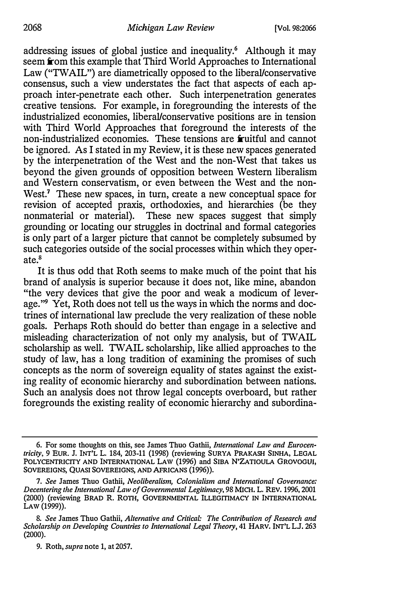addressing issues of global justice and inequality.6 Although it may seem from this example that Third World Approaches to International Law ("TWAIL") are diametrically opposed to the liberal/conservative consensus, such a view understates the fact that aspects of each approach inter-penetrate each other. Such interpenetration generates creative tensions. For example, in foregrounding the interests of the industrialized economies, liberal/conservative positions are in tension with Third World Approaches that foreground the interests of the non-industrialized economies. These tensions are fruitful and cannot be ignored. As I stated in my Review, it is these new spaces generated by the interpenetration of the West and the non-West that takes us beyond the given grounds of opposition between Western liberalism and Western conservatism, or even between the West and the non-West.<sup>7</sup> These new spaces, in turn, create a new conceptual space for revision of accepted praxis, orthodoxies, and hierarchies (be they nonmaterial or material). These new spaces suggest that simply grounding or locating our struggles in doctrinal and formal categories is only part of a larger picture that cannot be completely subsumed by such categories outside of the social processes within which they operate. <sup>8</sup>

It is thus odd that Roth seems to make much of the point that his brand of analysis is superior because it does not, like mine, abandon "the very devices that give the poor and weak a modicum of leverage."<sup>9</sup> Yet, Roth does not tell us the ways in which the norms and doctrines of international law preclude the very realization of these noble goals. Perhaps Roth should do better than engage in a selective and misleading characterization of not only my analysis, but of TWAIL scholarship as well. TWAIL scholarship, like allied approaches to the study of law, has a long tradition of examining the promises of such concepts as the norm of sovereign equality of states against the existing reality of economic hierarchy and subordination between nations. Such an analysis does not throw legal concepts overboard, but rather foregrounds the existing reality of economic hierarchy and subordina-

<sup>6.</sup> For some thoughts on this, see James Thuo Gathii, International Law and Eurocen· tricity, 9 EUR. J. lNT'L L. 184, 203-11 (1998) (reviewing SURYA PRAKASH SINHA, LEGAL POLYCENTRICITY AND INTERNATIONAL LAW (1996) and SIBA N'ZATIOULA GROVOGUI, SOVEREIGNS, QUASI SOVEREIGNS, AND AFRICANS (1996)).

<sup>7.</sup> See James Thuo Gathii, Neoliberalism, Colonialism and International Governance: Decentering the International Law of Governmental Legitimacy, 98 MICH. L. REV. 1996, 2001 (2000) (reviewing BRAD R. ROTH, GOVERNMENTAL ILLEGITIMACY IN INTERNATIONAL LAW (1999)).

<sup>8.</sup> See James Thuo Gathii, Alternative and Critical: The Contribution of Research and Scholarship on Developing Countries to International Legal Theory, 41 HARV. INT'L L.J. 263 (2000).

<sup>9.</sup> Roth, supra note 1, at 2057.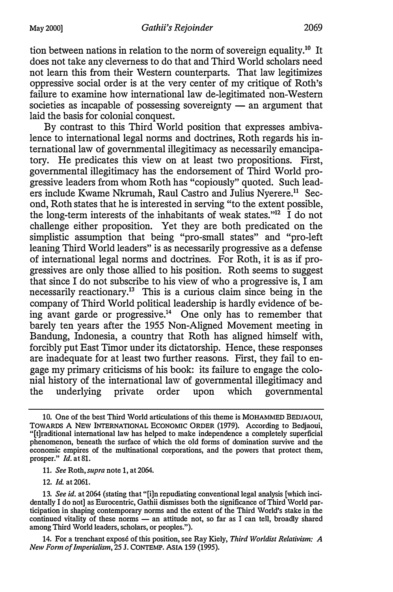tion between nations in relation to the norm of sovereign equality.10 It does not take any cleverness to do that and Third World scholars need not learn this from their Western counterparts. That law legitimizes oppressive social order is at the very center of my critique of Roth's failure to examine how international law de-legitimated non-Western societies as incapable of possessing sovereignty  $-$  an argument that laid the basis for colonial conquest.

By contrast to this Third World position that expresses ambivalence to international legal norms and doctrines, Roth regards his international law of governmental illegitimacy as necessarily emancipatory. He predicates this view on at least two propositions. First, governmental illegitimacy has the endorsement of Third World progressive leaders from whom Roth has "copiously" quoted. Such leaders include Kwame Nkrumah, Raul Castro and Julius Nyerere.<sup>11</sup> Second, Roth states that he is interested in serving "to the extent possible, the long-term interests of the inhabitants of weak states." $12 \text{ d}$  on not challenge either proposition. Yet they are both predicated on the simplistic assumption that being "pro-small states" and "pro-left leaning Third World leaders" is as necessarily progressive as a defense of international legal norms and doctrines. For Roth, it is as if progressives are only those allied to his position. Roth seems to suggest that since I do not subscribe to his view of who a progressive is, I am necessarily reactionary.<sup>13</sup> This is a curious claim since being in the company of Third World political leadership is hardly evidence of being avant garde or progressive.14 One only has to remember that barely ten years after the 1955 Non-Aligned Movement meeting in Bandung, Indonesia, a country that Roth has aligned himself with, forcibly put East Timor under its dictatorship. Hence, these responses are inadequate for at least two further reasons. First, they fail to engage my primary criticisms of his book: its failure to engage the colonial history of the international law of governmental illegitimacy and the underlying private order upon which governmental

14. For a trenchant exposé of this position, see Ray Kiely, Third Worldist Relativism: A New Form of Imperialism, 25 J. CONTEMP. AsIA 159 (1995).

<sup>10.</sup> One of the best Third World articulations of this theme is MOHAMMED BEDJAOUI, TOWARDS A NEW INTERNATIONAL ECONOMIC ORDER (1979). According to Bedjaoui, "[t]raditional international law has helped to make independence a completely superficial phenomenon, beneath the surface of which the old forms of domination survive and the economic empires of the multinational corporations, and the powers that protect them, prosper." *Id.* at 81.

<sup>11.</sup> See Roth, supra note 1, at 2064.

<sup>12.</sup> Id. at 2061.

<sup>13.</sup> See id. at 2064 (stating that "[i]n repudiating conventional legal analysis [which incidentally I do not] as Eurocentric, Gathii dismisses both the significance of Third World participation in shaping contemporary norms and the extent of the Third World's stake in the continued vitality of these norms  $-$  an attitude not, so far as I can tell, broadly shared among Third World leaders, scholars, or peoples.").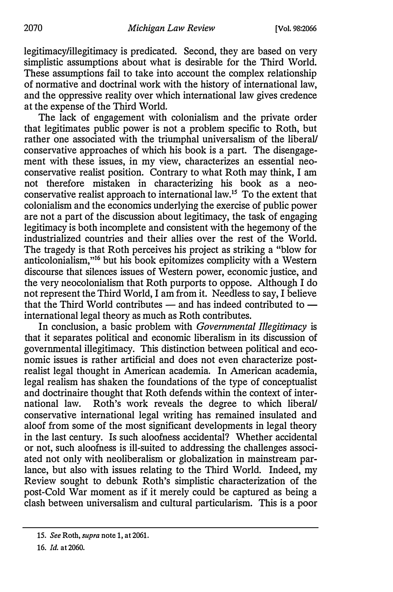legitimacy/illegitimacy is predicated. Second, they are based on very simplistic assumptions about what is desirable for the Third World. These assumptions fail to take into account the complex relationship of normative and doctrinal work with the history of international law, and the oppressive reality over which international law gives credence at the expense of the Third World.

The lack of engagement with colonialism and the private order that legitimates public power is not a problem specific to Roth, but rather one associated with the triumphal universalism of the liberal/ conservative approaches of which his book is a part. The disengagement with these issues, in my view, characterizes an essential neoconservative realist position. Contrary to what Roth may think, I am not therefore mistaken in characterizing his book as a neoconservative realist approach to international law.<sup>15</sup> To the extent that colonialism and the economics underlying the exercise of public power are not a part of the discussion about legitimacy, the task of engaging legitimacy is both incomplete and consistent with the hegemony of the industrialized countries and their allies over the rest of the World. The tragedy is that Roth perceives his project as striking a "blow for anticolonialism,"16 but his book epitomizes complicity with a Western discourse that silences issues of Western power, economic justice, and the very neocolonialism that Roth purports to oppose. Although I do not represent the Third World, I am from it. Needless to say, I believe that the Third World contributes  $-$  and has indeed contributed to  $$ international legal theory as much as Roth contributes.

In conclusion, a basic problem with *Governmental Illegitimacy* is that it separates political and economic liberalism in its discussion of governmental illegitimacy. This distinction between political and economic issues is rather artificial and does not even characterize postrealist legal thought in American academia. In American academia, legal realism has shaken the foundations of the type of conceptualist and doctrinaire thought that Roth defends within the context of international law. Roth's work reveals the degree to which liberal/ conservative international legal writing has remained insulated and aloof from some of the most significant developments in legal theory in the last century. Is such aloofness accidental? Whether accidental or not, such aloofness is ill-suited to addressing the challenges associated not only with neoliberalism or globalization in mainstream parlance, but also with issues relating to the Third World. Indeed, my Review sought to debunk Roth's simplistic characterization of the post-Cold War moment as if it merely could be captured as being a clash between universalism and cultural particularism. This is a poor

<sup>15.</sup> See Roth, supra note 1, at 2061.